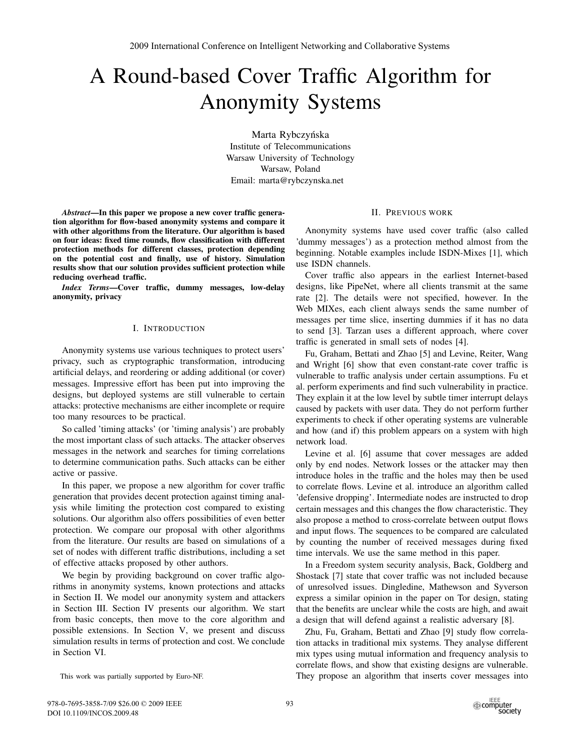# A Round-based Cover Traffic Algorithm for Anonymity Systems

Marta Rybczyńska Institute of Telecommunications Warsaw University of Technology Warsaw, Poland Email: marta@rybczynska.net

*Abstract***—In this paper we propose a new cover traffic generation algorithm for flow-based anonymity systems and compare it with other algorithms from the literature. Our algorithm is based on four ideas: fixed time rounds, flow classification with different protection methods for different classes, protection depending on the potential cost and finally, use of history. Simulation results show that our solution provides sufficient protection while reducing overhead traffic.**

*Index Terms***—Cover traffic, dummy messages, low-delay anonymity, privacy**

# I. INTRODUCTION

Anonymity systems use various techniques to protect users' privacy, such as cryptographic transformation, introducing artificial delays, and reordering or adding additional (or cover) messages. Impressive effort has been put into improving the designs, but deployed systems are still vulnerable to certain attacks: protective mechanisms are either incomplete or require too many resources to be practical.

So called 'timing attacks' (or 'timing analysis') are probably the most important class of such attacks. The attacker observes messages in the network and searches for timing correlations to determine communication paths. Such attacks can be either active or passive.

In this paper, we propose a new algorithm for cover traffic generation that provides decent protection against timing analysis while limiting the protection cost compared to existing solutions. Our algorithm also offers possibilities of even better protection. We compare our proposal with other algorithms from the literature. Our results are based on simulations of a set of nodes with different traffic distributions, including a set of effective attacks proposed by other authors.

We begin by providing background on cover traffic algorithms in anonymity systems, known protections and attacks in Section II. We model our anonymity system and attackers in Section III. Section IV presents our algorithm. We start from basic concepts, then move to the core algorithm and possible extensions. In Section V, we present and discuss simulation results in terms of protection and cost. We conclude in Section VI.

## II. PREVIOUS WORK

Anonymity systems have used cover traffic (also called 'dummy messages') as a protection method almost from the beginning. Notable examples include ISDN-Mixes [1], which use ISDN channels.

Cover traffic also appears in the earliest Internet-based designs, like PipeNet, where all clients transmit at the same rate [2]. The details were not specified, however. In the Web MIXes, each client always sends the same number of messages per time slice, inserting dummies if it has no data to send [3]. Tarzan uses a different approach, where cover traffic is generated in small sets of nodes [4].

Fu, Graham, Bettati and Zhao [5] and Levine, Reiter, Wang and Wright [6] show that even constant-rate cover traffic is vulnerable to traffic analysis under certain assumptions. Fu et al. perform experiments and find such vulnerability in practice. They explain it at the low level by subtle timer interrupt delays caused by packets with user data. They do not perform further experiments to check if other operating systems are vulnerable and how (and if) this problem appears on a system with high network load.

Levine et al. [6] assume that cover messages are added only by end nodes. Network losses or the attacker may then introduce holes in the traffic and the holes may then be used to correlate flows. Levine et al. introduce an algorithm called 'defensive dropping'. Intermediate nodes are instructed to drop certain messages and this changes the flow characteristic. They also propose a method to cross-correlate between output flows and input flows. The sequences to be compared are calculated by counting the number of received messages during fixed time intervals. We use the same method in this paper.

In a Freedom system security analysis, Back, Goldberg and Shostack [7] state that cover traffic was not included because of unresolved issues. Dingledine, Mathewson and Syverson express a similar opinion in the paper on Tor design, stating that the benefits are unclear while the costs are high, and await a design that will defend against a realistic adversary [8].

Zhu, Fu, Graham, Bettati and Zhao [9] study flow correlation attacks in traditional mix systems. They analyse different mix types using mutual information and frequency analysis to correlate flows, and show that existing designs are vulnerable. They propose an algorithm that inserts cover messages into

This work was partially supported by Euro-NF.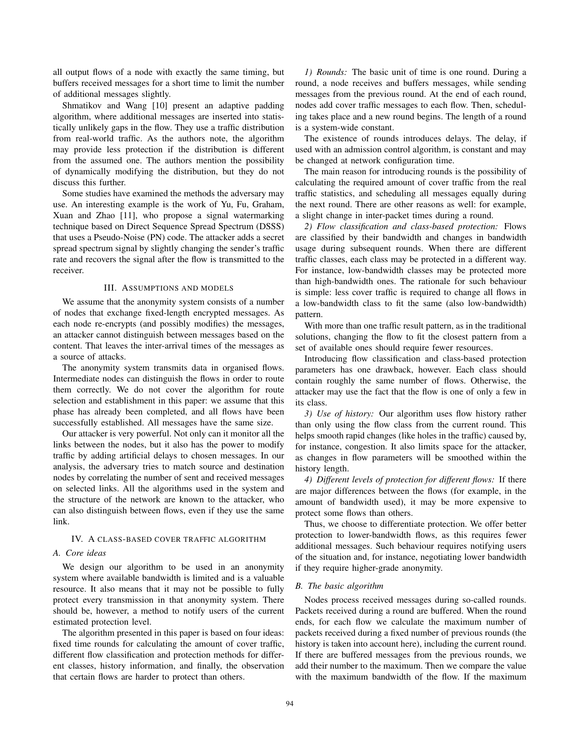all output flows of a node with exactly the same timing, but buffers received messages for a short time to limit the number of additional messages slightly.

Shmatikov and Wang [10] present an adaptive padding algorithm, where additional messages are inserted into statistically unlikely gaps in the flow. They use a traffic distribution from real-world traffic. As the authors note, the algorithm may provide less protection if the distribution is different from the assumed one. The authors mention the possibility of dynamically modifying the distribution, but they do not discuss this further.

Some studies have examined the methods the adversary may use. An interesting example is the work of Yu, Fu, Graham, Xuan and Zhao [11], who propose a signal watermarking technique based on Direct Sequence Spread Spectrum (DSSS) that uses a Pseudo-Noise (PN) code. The attacker adds a secret spread spectrum signal by slightly changing the sender's traffic rate and recovers the signal after the flow is transmitted to the receiver.

# III. ASSUMPTIONS AND MODELS

We assume that the anonymity system consists of a number of nodes that exchange fixed-length encrypted messages. As each node re-encrypts (and possibly modifies) the messages, an attacker cannot distinguish between messages based on the content. That leaves the inter-arrival times of the messages as a source of attacks.

The anonymity system transmits data in organised flows. Intermediate nodes can distinguish the flows in order to route them correctly. We do not cover the algorithm for route selection and establishment in this paper: we assume that this phase has already been completed, and all flows have been successfully established. All messages have the same size.

Our attacker is very powerful. Not only can it monitor all the links between the nodes, but it also has the power to modify traffic by adding artificial delays to chosen messages. In our analysis, the adversary tries to match source and destination nodes by correlating the number of sent and received messages on selected links. All the algorithms used in the system and the structure of the network are known to the attacker, who can also distinguish between flows, even if they use the same link.

## IV. A CLASS-BASED COVER TRAFFIC ALGORITHM

# *A. Core ideas*

We design our algorithm to be used in an anonymity system where available bandwidth is limited and is a valuable resource. It also means that it may not be possible to fully protect every transmission in that anonymity system. There should be, however, a method to notify users of the current estimated protection level.

The algorithm presented in this paper is based on four ideas: fixed time rounds for calculating the amount of cover traffic, different flow classification and protection methods for different classes, history information, and finally, the observation that certain flows are harder to protect than others.

*1) Rounds:* The basic unit of time is one round. During a round, a node receives and buffers messages, while sending messages from the previous round. At the end of each round, nodes add cover traffic messages to each flow. Then, scheduling takes place and a new round begins. The length of a round is a system-wide constant.

The existence of rounds introduces delays. The delay, if used with an admission control algorithm, is constant and may be changed at network configuration time.

The main reason for introducing rounds is the possibility of calculating the required amount of cover traffic from the real traffic statistics, and scheduling all messages equally during the next round. There are other reasons as well: for example, a slight change in inter-packet times during a round.

*2) Flow classification and class-based protection:* Flows are classified by their bandwidth and changes in bandwidth usage during subsequent rounds. When there are different traffic classes, each class may be protected in a different way. For instance, low-bandwidth classes may be protected more than high-bandwidth ones. The rationale for such behaviour is simple: less cover traffic is required to change all flows in a low-bandwidth class to fit the same (also low-bandwidth) pattern.

With more than one traffic result pattern, as in the traditional solutions, changing the flow to fit the closest pattern from a set of available ones should require fewer resources.

Introducing flow classification and class-based protection parameters has one drawback, however. Each class should contain roughly the same number of flows. Otherwise, the attacker may use the fact that the flow is one of only a few in its class.

*3) Use of history:* Our algorithm uses flow history rather than only using the flow class from the current round. This helps smooth rapid changes (like holes in the traffic) caused by, for instance, congestion. It also limits space for the attacker, as changes in flow parameters will be smoothed within the history length.

*4) Different levels of protection for different flows:* If there are major differences between the flows (for example, in the amount of bandwidth used), it may be more expensive to protect some flows than others.

Thus, we choose to differentiate protection. We offer better protection to lower-bandwidth flows, as this requires fewer additional messages. Such behaviour requires notifying users of the situation and, for instance, negotiating lower bandwidth if they require higher-grade anonymity.

## *B. The basic algorithm*

Nodes process received messages during so-called rounds. Packets received during a round are buffered. When the round ends, for each flow we calculate the maximum number of packets received during a fixed number of previous rounds (the history is taken into account here), including the current round. If there are buffered messages from the previous rounds, we add their number to the maximum. Then we compare the value with the maximum bandwidth of the flow. If the maximum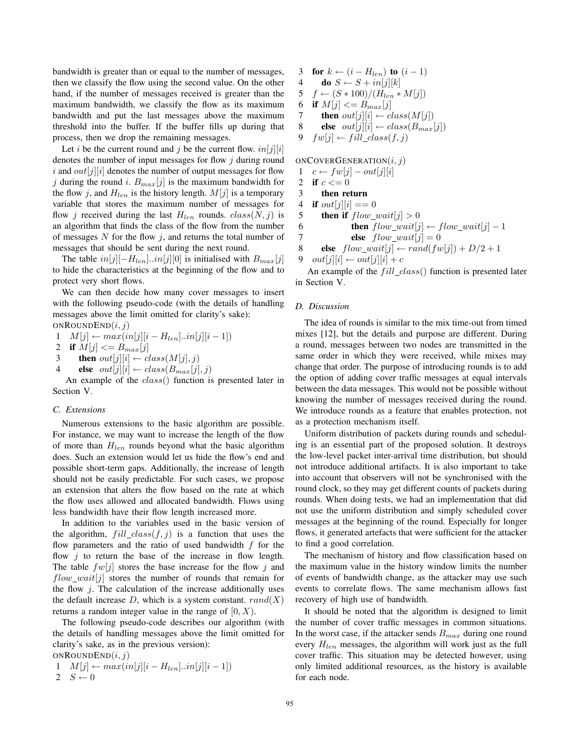bandwidth is greater than or equal to the number of messages, then we classify the flow using the second value. On the other hand, if the number of messages received is greater than the maximum bandwidth, we classify the flow as its maximum bandwidth and put the last messages above the maximum threshold into the buffer. If the buffer fills up during that process, then we drop the remaining messages.

Let *i* be the current round and *j* be the current flow.  $in[j][i]$ denotes the number of input messages for flow *j* during round  $i$  and  $out[j][i]$  denotes the number of output messages for flow *j* during the round *i*.  $B_{max}[j]$  is the maximum bandwidth for the flow *j*, and  $H_{len}$  is the history length.  $M[j]$  is a temporary variable that stores the maximum number of messages for flow *j* received during the last  $H_{len}$  rounds.  $class(N, j)$  is an algorithm that finds the class of the flow from the number of messages *N* for the flow *j*, and returns the total number of messages that should be sent during the next round.

The table  $in[j][-H_{len}].in[j][0]$  is initialised with  $B_{max}[j]$ to hide the characteristics at the beginning of the flow and to protect very short flows.

We can then decide how many cover messages to insert with the following pseudo-code (with the details of handling messages above the limit omitted for clarity's sake): ONROUNDEND(*i, j*)

$$
J = M^{[1]} \qquad \dots \qquad (i, 1)
$$

1 *M*[*j*] ← *max*(*in*[*j*][*i* − *H*<sub>len</sub>]*..in*[*j*][*i* − 1])<br>2 **if** *M*[*j*] <= *B*<sub>*max*</sub>[*j*]

if  $M[j] \leq B_{max}[j]$ 

- 3 **then**  $out[j][i] \leftarrow class(M[j], j)$ <br>4 **else**  $out[i][i] \leftarrow class(B_{max}[i])$
- $\textbf{else} \quad out[j][i] \leftarrow class(B_{max}[j], j)$

An example of the *class*() function is presented later in Section V.

# *C. Extensions*

Numerous extensions to the basic algorithm are possible. For instance, we may want to increase the length of the flow of more than *Hlen* rounds beyond what the basic algorithm does. Such an extension would let us hide the flow's end and possible short-term gaps. Additionally, the increase of length should not be easily predictable. For such cases, we propose an extension that alters the flow based on the rate at which the flow uses allowed and allocated bandwidth. Flows using less bandwidth have their flow length increased more.

In addition to the variables used in the basic version of the algorithm,  $fill\_class(f, j)$  is a function that uses the flow parameters and the ratio of used bandwidth *f* for the flow *j* to return the base of the increase in flow length. The table  $fw[j]$  stores the base increase for the flow *j* and *flow wait*[*j*] stores the number of rounds that remain for the flow *j*. The calculation of the increase additionally uses the default increase  $D$ , which is a system constant.  $rand(X)$ returns a random integer value in the range of [0*, X*).

The following pseudo-code describes our algorithm (with the details of handling messages above the limit omitted for clarity's sake, as in the previous version): ONROUNDEND(*i, j*)

$$
\frac{1}{2} \frac{M[j] \leftarrow max(in[j][i - H_{len}].in[j][i - 1])}{S \leftarrow 0}
$$

$$
2 \quad S \leftarrow 0
$$

3 for 
$$
k \leftarrow (i - H_{len})
$$
 to  $(i - 1)$ \n4 do  $S \leftarrow S + in[j][k]$ \n5  $f \leftarrow (S * 100) / (H_{len} * M[j])$ \n6 if  $M[j] \leq B_{max}[j]$ \n7 then  $out[j][i] \leftarrow class(M[j])$ \n8 else  $out[j][i] \leftarrow class(B_{max}[j])$ \n9  $fw[j] \leftarrow fill\_class(f, j)$ 

ONCOVERGENERATION(*i, j*)

1 *c* ← *fw*[*j*] − *out*[*j*][*i*]<br>2 **if** *c* <= 0 if  $c \leq 0$ 

3 **then return**

4 if 
$$
out[j][i] == 0
$$

5 **then if**  $flow\_wait[j] > 0$ 

6 **then** 
$$
flow\_wait[j] \leftarrow flow\_wait[j] - 1
$$
  
7 **else**  $flow\_wait[j] = 0$ 

8 **else**  $flow\_wait[j] \leftarrow rand(fw[j]) + D/2 + 1$ <br>9  $out[i][i] \leftarrow out[i][i] + c$ 

 $out[j][i] \leftarrow out[j][i] + c$ 

An example of the *f ill class*() function is presented later in Section V.

## *D. Discussion*

The idea of rounds is similar to the mix time-out from timed mixes [12], but the details and purpose are different. During a round, messages between two nodes are transmitted in the same order in which they were received, while mixes may change that order. The purpose of introducing rounds is to add the option of adding cover traffic messages at equal intervals between the data messages. This would not be possible without knowing the number of messages received during the round. We introduce rounds as a feature that enables protection, not as a protection mechanism itself.

Uniform distribution of packets during rounds and scheduling is an essential part of the proposed solution. It destroys the low-level packet inter-arrival time distribution, but should not introduce additional artifacts. It is also important to take into account that observers will not be synchronised with the round clock, so they may get different counts of packets during rounds. When doing tests, we had an implementation that did not use the uniform distribution and simply scheduled cover messages at the beginning of the round. Especially for longer flows, it generated artefacts that were sufficient for the attacker to find a good correlation.

The mechanism of history and flow classification based on the maximum value in the history window limits the number of events of bandwidth change, as the attacker may use such events to correlate flows. The same mechanism allows fast recovery of high use of bandwidth.

It should be noted that the algorithm is designed to limit the number of cover traffic messages in common situations. In the worst case, if the attacker sends *Bmax* during one round every *Hlen* messages, the algorithm will work just as the full cover traffic. This situation may be detected however, using only limited additional resources, as the history is available for each node.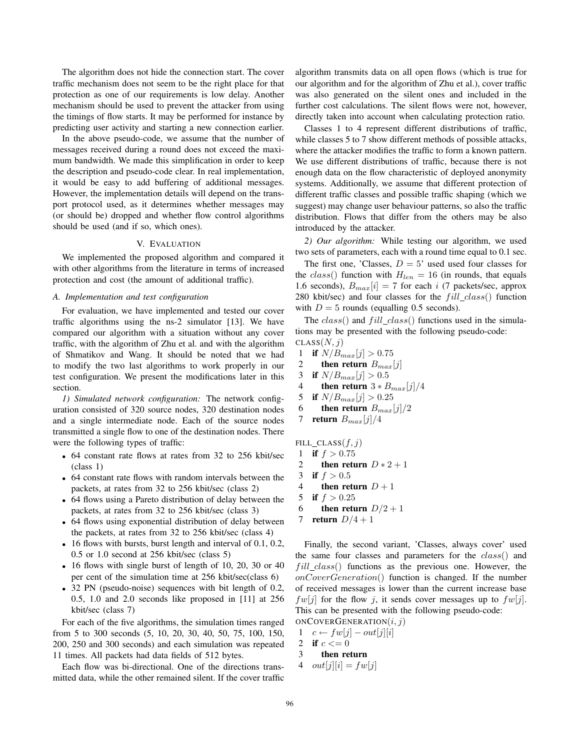The algorithm does not hide the connection start. The cover traffic mechanism does not seem to be the right place for that protection as one of our requirements is low delay. Another mechanism should be used to prevent the attacker from using the timings of flow starts. It may be performed for instance by predicting user activity and starting a new connection earlier.

In the above pseudo-code, we assume that the number of messages received during a round does not exceed the maximum bandwidth. We made this simplification in order to keep the description and pseudo-code clear. In real implementation, it would be easy to add buffering of additional messages. However, the implementation details will depend on the transport protocol used, as it determines whether messages may (or should be) dropped and whether flow control algorithms should be used (and if so, which ones).

#### V. EVALUATION

We implemented the proposed algorithm and compared it with other algorithms from the literature in terms of increased protection and cost (the amount of additional traffic).

# *A. Implementation and test configuration*

For evaluation, we have implemented and tested our cover traffic algorithms using the ns-2 simulator [13]. We have compared our algorithm with a situation without any cover traffic, with the algorithm of Zhu et al. and with the algorithm of Shmatikov and Wang. It should be noted that we had to modify the two last algorithms to work properly in our test configuration. We present the modifications later in this section.

*1) Simulated network configuration:* The network configuration consisted of 320 source nodes, 320 destination nodes and a single intermediate node. Each of the source nodes transmitted a single flow to one of the destination nodes. There were the following types of traffic:

- 64 constant rate flows at rates from 32 to 256 kbit/sec (class 1)
- 64 constant rate flows with random intervals between the packets, at rates from 32 to 256 kbit/sec (class 2)
- 64 flows using a Pareto distribution of delay between the packets, at rates from 32 to 256 kbit/sec (class 3)
- 64 flows using exponential distribution of delay between the packets, at rates from 32 to 256 kbit/sec (class 4)
- 16 flows with bursts, burst length and interval of 0.1, 0.2, 0.5 or 1.0 second at 256 kbit/sec (class 5)
- 16 flows with single burst of length of 10, 20, 30 or 40 per cent of the simulation time at 256 kbit/sec(class 6)
- 32 PN (pseudo-noise) sequences with bit length of 0.2, 0.5, 1.0 and 2.0 seconds like proposed in [11] at 256 kbit/sec (class 7)

For each of the five algorithms, the simulation times ranged from 5 to 300 seconds (5, 10, 20, 30, 40, 50, 75, 100, 150, 200, 250 and 300 seconds) and each simulation was repeated 11 times. All packets had data fields of 512 bytes.

Each flow was bi-directional. One of the directions transmitted data, while the other remained silent. If the cover traffic

algorithm transmits data on all open flows (which is true for our algorithm and for the algorithm of Zhu et al.), cover traffic was also generated on the silent ones and included in the further cost calculations. The silent flows were not, however, directly taken into account when calculating protection ratio.

Classes 1 to 4 represent different distributions of traffic, while classes 5 to 7 show different methods of possible attacks, where the attacker modifies the traffic to form a known pattern. We use different distributions of traffic, because there is not enough data on the flow characteristic of deployed anonymity systems. Additionally, we assume that different protection of different traffic classes and possible traffic shaping (which we suggest) may change user behaviour patterns, so also the traffic distribution. Flows that differ from the others may be also introduced by the attacker.

*2) Our algorithm:* While testing our algorithm, we used two sets of parameters, each with a round time equal to 0.1 sec.

The first one, 'Classes,  $D = 5$ ' used used four classes for the  $class()$  function with  $H_{len} = 16$  (in rounds, that equals 1.6 seconds),  $B_{max}[i]=7$  for each *i* (7 packets/sec, approx 280 kbit/sec) and four classes for the *f ill class*() function with  $D = 5$  rounds (equalling 0.5 seconds).

The *class*() and *f ill class*() functions used in the simulations may be presented with the following pseudo-code:  $CLASS(N, i)$ 

- 1 **if**  $N/B_{max}[j] > 0.75$ 2 **then return**  $B_{max}[j]$
- 3 **if**  $N/B_{max}[j] > 0.5$
- 
- 4 **then return**  $3 * B_{max}[j]/4$ <br>5 **if**  $N/B_{max}[j] > 0.25$ **if**  $N/B_{max}[j] > 0.25$
- 6 **then return**  $B_{max}[j]/2$
- 7 **return**  $B_{max}[i]/4$

 $FILL\_CLASS(f, j)$ 

- 1 **if**  $f > 0.75$ 2 **then return**  $D * 2 + 1$ <br>3 **if**  $f > 0.5$ **if**  $f > 0.5$ 4 **then return**  $D + 1$ 5 **if**  $f > 0.25$ 6 **then return**  $D/2+1$
- 7 **return** *D/*4+1

Finally, the second variant, 'Classes, always cover' used the same four classes and parameters for the *class*() and *f ill class*() functions as the previous one. However, the *onCoverGeneration*() function is changed. If the number of received messages is lower than the current increase base  $fw[j]$  for the flow *j*, it sends cover messages up to  $fw[j]$ . This can be presented with the following pseudo-code: ONCOVERGENERATION(*i, j*)

- 1 *c* ← *fw*[*j*] − *out*[*j*][*i*]<br>2 **if** *c* <= 0
- if  $c \leq 0$
- 3 **then return**
- 
- 4  $out[j][i] = fw[j]$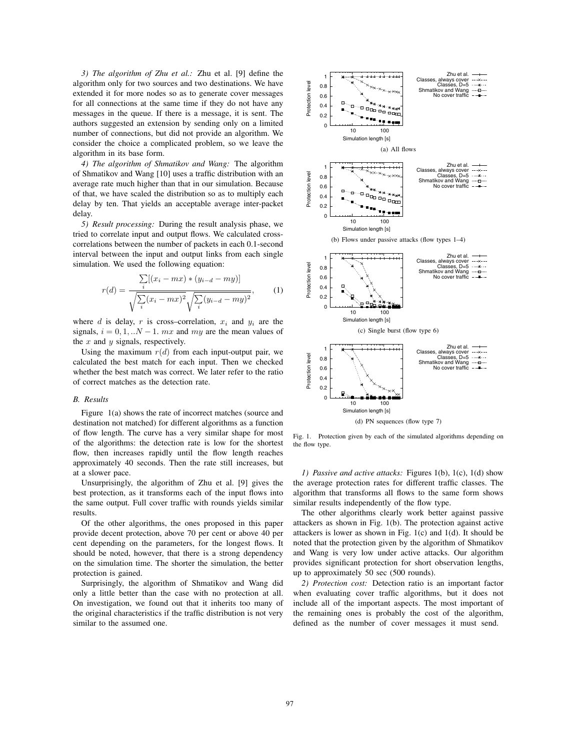*3) The algorithm of Zhu et al.:* Zhu et al. [9] define the algorithm only for two sources and two destinations. We have extended it for more nodes so as to generate cover messages for all connections at the same time if they do not have any messages in the queue. If there is a message, it is sent. The authors suggested an extension by sending only on a limited number of connections, but did not provide an algorithm. We consider the choice a complicated problem, so we leave the algorithm in its base form.

*4) The algorithm of Shmatikov and Wang:* The algorithm of Shmatikov and Wang [10] uses a traffic distribution with an average rate much higher than that in our simulation. Because of that, we have scaled the distribution so as to multiply each delay by ten. That yields an acceptable average inter-packet delay.

*5) Result processing:* During the result analysis phase, we tried to correlate input and output flows. We calculated crosscorrelations between the number of packets in each 0.1-second interval between the input and output links from each single simulation. We used the following equation:

$$
r(d) = \frac{\sum_{i} [(x_i - mx) * (y_{i-d} - my)]}{\sqrt{\sum_{i} (x_i - mx)^2} \sqrt{\sum_{i} (y_{i-d} - my)^2}},
$$
(1)

where *d* is delay, *r* is cross–correlation,  $x_i$  and  $y_i$  are the signals,  $i = 0, 1, \ldots N - 1$ . *mx* and *my* are the mean values of the *x* and *y* signals, respectively.

Using the maximum  $r(d)$  from each input-output pair, we calculated the best match for each input. Then we checked whether the best match was correct. We later refer to the ratio of correct matches as the detection rate.

#### *B. Results*

Figure 1(a) shows the rate of incorrect matches (source and destination not matched) for different algorithms as a function of flow length. The curve has a very similar shape for most of the algorithms: the detection rate is low for the shortest flow, then increases rapidly until the flow length reaches approximately 40 seconds. Then the rate still increases, but at a slower pace.

Unsurprisingly, the algorithm of Zhu et al. [9] gives the best protection, as it transforms each of the input flows into the same output. Full cover traffic with rounds yields similar results.

Of the other algorithms, the ones proposed in this paper provide decent protection, above 70 per cent or above 40 per cent depending on the parameters, for the longest flows. It should be noted, however, that there is a strong dependency on the simulation time. The shorter the simulation, the better protection is gained.

Surprisingly, the algorithm of Shmatikov and Wang did only a little better than the case with no protection at all. On investigation, we found out that it inherits too many of the original characteristics if the traffic distribution is not very similar to the assumed one.



Fig. 1. Protection given by each of the simulated algorithms depending on the flow type.

*1) Passive and active attacks:* Figures 1(b), 1(c), 1(d) show the average protection rates for different traffic classes. The algorithm that transforms all flows to the same form shows similar results independently of the flow type.

The other algorithms clearly work better against passive attackers as shown in Fig. 1(b). The protection against active attackers is lower as shown in Fig.  $1(c)$  and  $1(d)$ . It should be noted that the protection given by the algorithm of Shmatikov and Wang is very low under active attacks. Our algorithm provides significant protection for short observation lengths, up to approximately 50 sec (500 rounds).

*2) Protection cost:* Detection ratio is an important factor when evaluating cover traffic algorithms, but it does not include all of the important aspects. The most important of the remaining ones is probably the cost of the algorithm, defined as the number of cover messages it must send.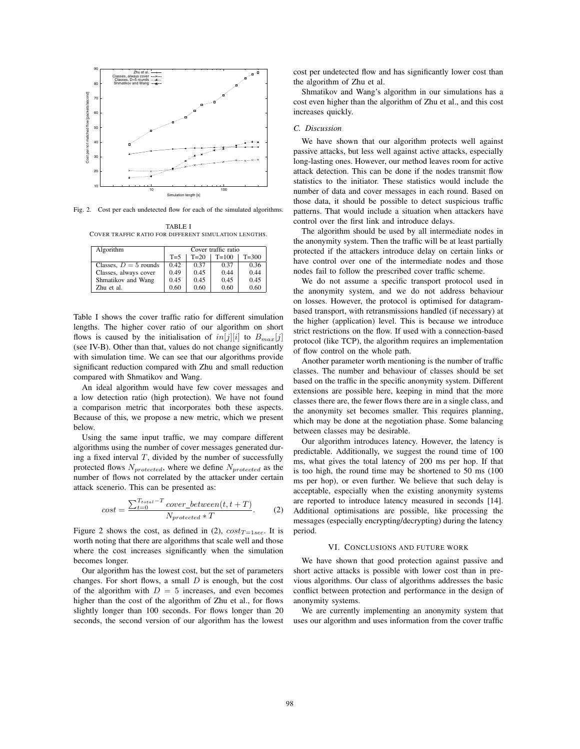

Fig. 2. Cost per each undetected flow for each of the simulated algorithms.

TABLE I COVER TRAFFIC RATIO FOR DIFFERENT SIMULATION LENGTHS.

| Algorithm               | Cover traffic ratio |        |           |           |
|-------------------------|---------------------|--------|-----------|-----------|
|                         | $T=5$               | $T=20$ | $T = 100$ | $T = 300$ |
| Classes, $D = 5$ rounds | 0.42                | 0.37   | 0.37      | 0.36      |
| Classes, always cover   | 0.49                | 0.45   | 0.44      | 0.44      |
| Shmatikov and Wang      | 0.45                | 0.45   | 0.45      | 0.45      |
| Zhu et al.              | 0.60                | 0.60   | 0.60      | 0.60      |

Table I shows the cover traffic ratio for different simulation lengths. The higher cover ratio of our algorithm on short flows is caused by the initialisation of  $in[j][i]$  to  $B_{max}[j]$ (see IV-B). Other than that, values do not change significantly with simulation time. We can see that our algorithms provide significant reduction compared with Zhu and small reduction compared with Shmatikov and Wang.

An ideal algorithm would have few cover messages and a low detection ratio (high protection). We have not found a comparison metric that incorporates both these aspects. Because of this, we propose a new metric, which we present below.

Using the same input traffic, we may compare different algorithms using the number of cover messages generated during a fixed interval *T*, divided by the number of successfully protected flows *Nprotected*, where we define *Nprotected* as the number of flows not correlated by the attacker under certain attack scenerio. This can be presented as:

$$
cost = \frac{\sum_{t=0}^{T_{total}-T} cover\_between(t, t+T)}{N_{protected} * T}.
$$
 (2)

Figure 2 shows the cost, as defined in (2),  $cost_{T=1sec}$ . It is worth noting that there are algorithms that scale well and those where the cost increases significantly when the simulation becomes longer.

Our algorithm has the lowest cost, but the set of parameters changes. For short flows, a small *D* is enough, but the cost of the algorithm with  $D = 5$  increases, and even becomes higher than the cost of the algorithm of Zhu et al., for flows slightly longer than 100 seconds. For flows longer than 20 seconds, the second version of our algorithm has the lowest cost per undetected flow and has significantly lower cost than the algorithm of Zhu et al.

Shmatikov and Wang's algorithm in our simulations has a cost even higher than the algorithm of Zhu et al., and this cost increases quickly.

## *C. Discussion*

We have shown that our algorithm protects well against passive attacks, but less well against active attacks, especially long-lasting ones. However, our method leaves room for active attack detection. This can be done if the nodes transmit flow statistics to the initiator. These statistics would include the number of data and cover messages in each round. Based on those data, it should be possible to detect suspicious traffic patterns. That would include a situation when attackers have control over the first link and introduce delays.

The algorithm should be used by all intermediate nodes in the anonymity system. Then the traffic will be at least partially protected if the attackers introduce delay on certain links or have control over one of the intermediate nodes and those nodes fail to follow the prescribed cover traffic scheme.

We do not assume a specific transport protocol used in the anonymity system, and we do not address behaviour on losses. However, the protocol is optimised for datagrambased transport, with retransmissions handled (if necessary) at the higher (application) level. This is because we introduce strict restrictions on the flow. If used with a connection-based protocol (like TCP), the algorithm requires an implementation of flow control on the whole path.

Another parameter worth mentioning is the number of traffic classes. The number and behaviour of classes should be set based on the traffic in the specific anonymity system. Different extensions are possible here, keeping in mind that the more classes there are, the fewer flows there are in a single class, and the anonymity set becomes smaller. This requires planning, which may be done at the negotiation phase. Some balancing between classes may be desirable.

Our algorithm introduces latency. However, the latency is predictable. Additionally, we suggest the round time of 100 ms, what gives the total latency of 200 ms per hop. If that is too high, the round time may be shortened to 50 ms (100 ms per hop), or even further. We believe that such delay is acceptable, especially when the existing anonymity systems are reported to introduce latency measured in seconds [14]. Additional optimisations are possible, like processing the messages (especially encrypting/decrypting) during the latency period.

#### VI. CONCLUSIONS AND FUTURE WORK

We have shown that good protection against passive and short active attacks is possible with lower cost than in previous algorithms. Our class of algorithms addresses the basic conflict between protection and performance in the design of anonymity systems.

We are currently implementing an anonymity system that uses our algorithm and uses information from the cover traffic